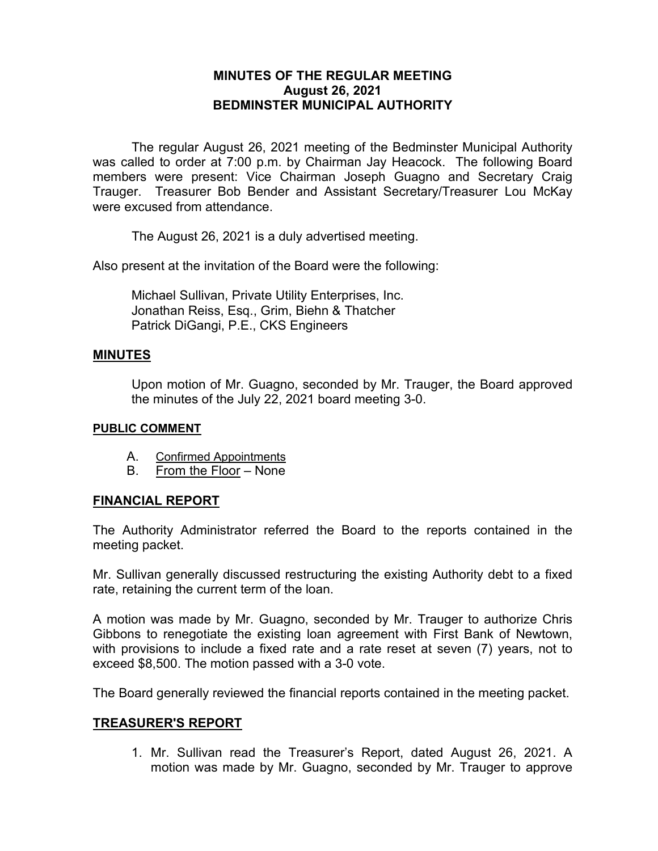## **MINUTES OF THE REGULAR MEETING August 26, 2021 BEDMINSTER MUNICIPAL AUTHORITY**

The regular August 26, 2021 meeting of the Bedminster Municipal Authority was called to order at 7:00 p.m. by Chairman Jay Heacock. The following Board members were present: Vice Chairman Joseph Guagno and Secretary Craig Trauger. Treasurer Bob Bender and Assistant Secretary/Treasurer Lou McKay were excused from attendance.

The August 26, 2021 is a duly advertised meeting.

Also present at the invitation of the Board were the following:

Michael Sullivan, Private Utility Enterprises, Inc. Jonathan Reiss, Esq., Grim, Biehn & Thatcher Patrick DiGangi, P.E., CKS Engineers

#### **MINUTES**

Upon motion of Mr. Guagno, seconded by Mr. Trauger, the Board approved the minutes of the July 22, 2021 board meeting 3-0.

#### **PUBLIC COMMENT**

- A. Confirmed Appointments
- B. From the Floor None

## **FINANCIAL REPORT**

The Authority Administrator referred the Board to the reports contained in the meeting packet.

Mr. Sullivan generally discussed restructuring the existing Authority debt to a fixed rate, retaining the current term of the loan.

A motion was made by Mr. Guagno, seconded by Mr. Trauger to authorize Chris Gibbons to renegotiate the existing loan agreement with First Bank of Newtown, with provisions to include a fixed rate and a rate reset at seven (7) years, not to exceed \$8,500. The motion passed with a 3-0 vote.

The Board generally reviewed the financial reports contained in the meeting packet.

#### **TREASURER'S REPORT**

1. Mr. Sullivan read the Treasurer's Report, dated August 26, 2021. A motion was made by Mr. Guagno, seconded by Mr. Trauger to approve